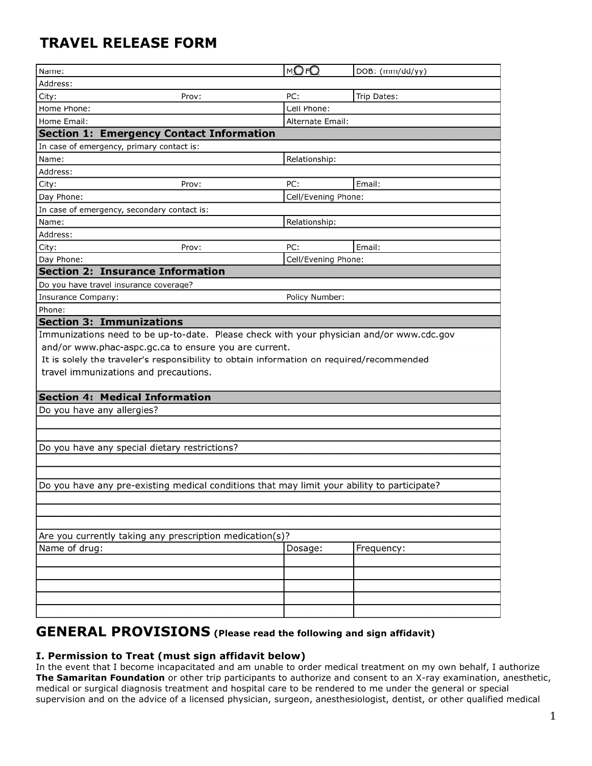# **TRAVEL RELEASE FORM**

| Address:<br>PC:<br>City:<br>Prov:<br>Cell Phone:<br>Home Phone:<br>Home Email:<br>Alternate Email:<br><b>Section 1: Emergency Contact Information</b><br>In case of emergency, primary contact is:<br>Relationship:<br>Name:<br>Address:<br>PC:<br>City:<br>Prov:<br>Day Phone:<br>In case of emergency, secondary contact is:<br>Name:<br>Relationship:<br>Address:<br>PC:<br>City:<br>Prov:<br>Day Phone:<br><b>Section 2: Insurance Information</b><br>Do you have travel insurance coverage?<br>Insurance Company:<br>Policy Number:<br>Phone:<br><b>Section 3: Immunizations</b><br>Immunizations need to be up-to-date. Please check with your physician and/or www.cdc.gov<br>and/or www.phac-aspc.gc.ca to ensure you are current.<br>travel immunizations and precautions.<br><b>Section 4: Medical Information</b> | Trip Dates:                                                                              |  |  |  |  |
|------------------------------------------------------------------------------------------------------------------------------------------------------------------------------------------------------------------------------------------------------------------------------------------------------------------------------------------------------------------------------------------------------------------------------------------------------------------------------------------------------------------------------------------------------------------------------------------------------------------------------------------------------------------------------------------------------------------------------------------------------------------------------------------------------------------------------|------------------------------------------------------------------------------------------|--|--|--|--|
|                                                                                                                                                                                                                                                                                                                                                                                                                                                                                                                                                                                                                                                                                                                                                                                                                              |                                                                                          |  |  |  |  |
|                                                                                                                                                                                                                                                                                                                                                                                                                                                                                                                                                                                                                                                                                                                                                                                                                              |                                                                                          |  |  |  |  |
|                                                                                                                                                                                                                                                                                                                                                                                                                                                                                                                                                                                                                                                                                                                                                                                                                              |                                                                                          |  |  |  |  |
|                                                                                                                                                                                                                                                                                                                                                                                                                                                                                                                                                                                                                                                                                                                                                                                                                              |                                                                                          |  |  |  |  |
|                                                                                                                                                                                                                                                                                                                                                                                                                                                                                                                                                                                                                                                                                                                                                                                                                              |                                                                                          |  |  |  |  |
|                                                                                                                                                                                                                                                                                                                                                                                                                                                                                                                                                                                                                                                                                                                                                                                                                              |                                                                                          |  |  |  |  |
|                                                                                                                                                                                                                                                                                                                                                                                                                                                                                                                                                                                                                                                                                                                                                                                                                              |                                                                                          |  |  |  |  |
|                                                                                                                                                                                                                                                                                                                                                                                                                                                                                                                                                                                                                                                                                                                                                                                                                              |                                                                                          |  |  |  |  |
|                                                                                                                                                                                                                                                                                                                                                                                                                                                                                                                                                                                                                                                                                                                                                                                                                              | Email:                                                                                   |  |  |  |  |
|                                                                                                                                                                                                                                                                                                                                                                                                                                                                                                                                                                                                                                                                                                                                                                                                                              | Cell/Evening Phone:                                                                      |  |  |  |  |
|                                                                                                                                                                                                                                                                                                                                                                                                                                                                                                                                                                                                                                                                                                                                                                                                                              |                                                                                          |  |  |  |  |
|                                                                                                                                                                                                                                                                                                                                                                                                                                                                                                                                                                                                                                                                                                                                                                                                                              |                                                                                          |  |  |  |  |
|                                                                                                                                                                                                                                                                                                                                                                                                                                                                                                                                                                                                                                                                                                                                                                                                                              |                                                                                          |  |  |  |  |
|                                                                                                                                                                                                                                                                                                                                                                                                                                                                                                                                                                                                                                                                                                                                                                                                                              | Email:                                                                                   |  |  |  |  |
|                                                                                                                                                                                                                                                                                                                                                                                                                                                                                                                                                                                                                                                                                                                                                                                                                              | Cell/Evening Phone:                                                                      |  |  |  |  |
|                                                                                                                                                                                                                                                                                                                                                                                                                                                                                                                                                                                                                                                                                                                                                                                                                              |                                                                                          |  |  |  |  |
|                                                                                                                                                                                                                                                                                                                                                                                                                                                                                                                                                                                                                                                                                                                                                                                                                              |                                                                                          |  |  |  |  |
|                                                                                                                                                                                                                                                                                                                                                                                                                                                                                                                                                                                                                                                                                                                                                                                                                              |                                                                                          |  |  |  |  |
|                                                                                                                                                                                                                                                                                                                                                                                                                                                                                                                                                                                                                                                                                                                                                                                                                              |                                                                                          |  |  |  |  |
|                                                                                                                                                                                                                                                                                                                                                                                                                                                                                                                                                                                                                                                                                                                                                                                                                              |                                                                                          |  |  |  |  |
|                                                                                                                                                                                                                                                                                                                                                                                                                                                                                                                                                                                                                                                                                                                                                                                                                              |                                                                                          |  |  |  |  |
|                                                                                                                                                                                                                                                                                                                                                                                                                                                                                                                                                                                                                                                                                                                                                                                                                              | It is solely the traveler's responsibility to obtain information on required/recommended |  |  |  |  |
|                                                                                                                                                                                                                                                                                                                                                                                                                                                                                                                                                                                                                                                                                                                                                                                                                              |                                                                                          |  |  |  |  |
|                                                                                                                                                                                                                                                                                                                                                                                                                                                                                                                                                                                                                                                                                                                                                                                                                              |                                                                                          |  |  |  |  |
|                                                                                                                                                                                                                                                                                                                                                                                                                                                                                                                                                                                                                                                                                                                                                                                                                              |                                                                                          |  |  |  |  |
|                                                                                                                                                                                                                                                                                                                                                                                                                                                                                                                                                                                                                                                                                                                                                                                                                              |                                                                                          |  |  |  |  |
| Do you have any allergies?                                                                                                                                                                                                                                                                                                                                                                                                                                                                                                                                                                                                                                                                                                                                                                                                   |                                                                                          |  |  |  |  |
|                                                                                                                                                                                                                                                                                                                                                                                                                                                                                                                                                                                                                                                                                                                                                                                                                              |                                                                                          |  |  |  |  |
|                                                                                                                                                                                                                                                                                                                                                                                                                                                                                                                                                                                                                                                                                                                                                                                                                              |                                                                                          |  |  |  |  |
| Do you have any special dietary restrictions?                                                                                                                                                                                                                                                                                                                                                                                                                                                                                                                                                                                                                                                                                                                                                                                |                                                                                          |  |  |  |  |
|                                                                                                                                                                                                                                                                                                                                                                                                                                                                                                                                                                                                                                                                                                                                                                                                                              |                                                                                          |  |  |  |  |
|                                                                                                                                                                                                                                                                                                                                                                                                                                                                                                                                                                                                                                                                                                                                                                                                                              |                                                                                          |  |  |  |  |
| Do you have any pre-existing medical conditions that may limit your ability to participate?                                                                                                                                                                                                                                                                                                                                                                                                                                                                                                                                                                                                                                                                                                                                  |                                                                                          |  |  |  |  |
|                                                                                                                                                                                                                                                                                                                                                                                                                                                                                                                                                                                                                                                                                                                                                                                                                              |                                                                                          |  |  |  |  |
|                                                                                                                                                                                                                                                                                                                                                                                                                                                                                                                                                                                                                                                                                                                                                                                                                              |                                                                                          |  |  |  |  |
|                                                                                                                                                                                                                                                                                                                                                                                                                                                                                                                                                                                                                                                                                                                                                                                                                              |                                                                                          |  |  |  |  |
| Are you currently taking any prescription medication(s)?                                                                                                                                                                                                                                                                                                                                                                                                                                                                                                                                                                                                                                                                                                                                                                     |                                                                                          |  |  |  |  |
| Name of drug:<br>Dosage:                                                                                                                                                                                                                                                                                                                                                                                                                                                                                                                                                                                                                                                                                                                                                                                                     | Frequency:                                                                               |  |  |  |  |
|                                                                                                                                                                                                                                                                                                                                                                                                                                                                                                                                                                                                                                                                                                                                                                                                                              |                                                                                          |  |  |  |  |
|                                                                                                                                                                                                                                                                                                                                                                                                                                                                                                                                                                                                                                                                                                                                                                                                                              |                                                                                          |  |  |  |  |
|                                                                                                                                                                                                                                                                                                                                                                                                                                                                                                                                                                                                                                                                                                                                                                                                                              |                                                                                          |  |  |  |  |
|                                                                                                                                                                                                                                                                                                                                                                                                                                                                                                                                                                                                                                                                                                                                                                                                                              |                                                                                          |  |  |  |  |
|                                                                                                                                                                                                                                                                                                                                                                                                                                                                                                                                                                                                                                                                                                                                                                                                                              |                                                                                          |  |  |  |  |
|                                                                                                                                                                                                                                                                                                                                                                                                                                                                                                                                                                                                                                                                                                                                                                                                                              |                                                                                          |  |  |  |  |

## **GENERAL PROVISIONS (Please read the following and sign affidavit)**

#### **I. Permission to Treat (must sign affidavit below)**

In the event that I become incapacitated and am unable to order medical treatment on my own behalf, I authorize **The Samaritan Foundation** or other trip participants to authorize and consent to an X-ray examination, anesthetic, medical or surgical diagnosis treatment and hospital care to be rendered to me under the general or special supervision and on the advice of a licensed physician, surgeon, anesthesiologist, dentist, or other qualified medical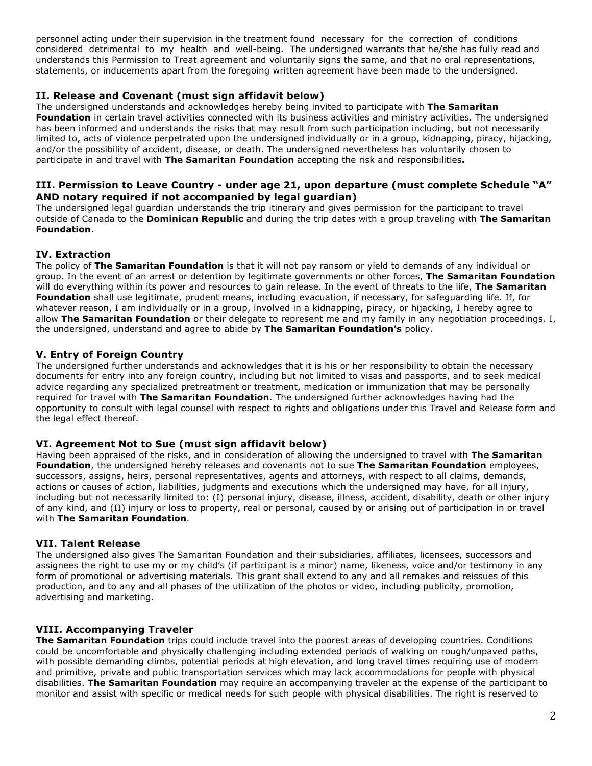personnel acting under their supervision in the treatment found necessary for the correction of conditions considered detrimental to my health and well-being. The undersigned warrants that he/she has fully read and understands this Permission to Treat agreement and voluntarily signs the same, and that no oral representations, statements, or inducements apart from the foregoing written agreement have been made to the undersigned.

### **II. Release and Covenant (must sign affidavit below)**

The undersigned understands and acknowledges hereby being invited to participate with **The Samaritan Foundation** in certain travel activities connected with its business activities and ministry activities. The undersigned has been informed and understands the risks that may result from such participation including, but not necessarily limited to, acts of violence perpetrated upon the undersigned individually or in a group, kidnapping, piracy, hijacking, and/or the possibility of accident, disease, or death. The undersigned nevertheless has voluntarily chosen to participate in and travel with **The Samaritan Foundation** accepting the risk and responsibilities**.**

#### **III. Permission to Leave Country - under age 21, upon departure (must complete Schedule "A" AND notary required if not accompanied by legal guardian)**

The undersigned legal guardian understands the trip itinerary and gives permission for the participant to travel outside of Canada to the **Dominican Republic** and during the trip dates with a group traveling with **The Samaritan Foundation**.

#### **IV. Extraction**

The policy of **The Samaritan Foundation** is that it will not pay ransom or yield to demands of any individual or group. In the event of an arrest or detention by legitimate governments or other forces, **The Samaritan Foundation** will do everything within its power and resources to gain release. In the event of threats to the life, **The Samaritan Foundation** shall use legitimate, prudent means, including evacuation, if necessary, for safeguarding life. If, for whatever reason, I am individually or in a group, involved in a kidnapping, piracy, or hijacking, I hereby agree to allow **The Samaritan Foundation** or their delegate to represent me and my family in any negotiation proceedings. I, the undersigned, understand and agree to abide by **The Samaritan Foundation's** policy.

#### **V. Entry of Foreign Country**

The undersigned further understands and acknowledges that it is his or her responsibility to obtain the necessary documents for entry into any foreign country, including but not limited to visas and passports, and to seek medical advice regarding any specialized pretreatment or treatment, medication or immunization that may be personally required for travel with **The Samaritan Foundation**. The undersigned further acknowledges having had the opportunity to consult with legal counsel with respect to rights and obligations under this Travel and Release form and the legal effect thereof.

#### **VI. Agreement Not to Sue (must sign affidavit below)**

Having been appraised of the risks, and in consideration of allowing the undersigned to travel with **The Samaritan Foundation**, the undersigned hereby releases and covenants not to sue **The Samaritan Foundation** employees, successors, assigns, heirs, personal representatives, agents and attorneys, with respect to all claims, demands, actions or causes of action, liabilities, judgments and executions which the undersigned may have, for all injury, including but not necessarily limited to: (I) personal injury, disease, illness, accident, disability, death or other injury of any kind, and (II) injury or loss to property, real or personal, caused by or arising out of participation in or travel with **The Samaritan Foundation**.

#### **VII. Talent Release**

The undersianed also gives The Samaritan Foundation and their subsidiaries, affiliates, licensees, successors and assignees the right to use my or my child's (if participant is a minor) name, likeness, voice and/or testimony in any form of promotional or advertising materials. This grant shall extend to any and all remakes and reissues of this production, and to any and all phases of the utilization of the photos or video, including publicity, promotion, advertising and marketing.

#### **VIII. Accompanying Traveler**

**The Samaritan Foundation** trips could include travel into the poorest areas of developing countries. Conditions could be uncomfortable and physically challenging including extended periods of walking on rough/unpaved paths, with possible demanding climbs, potential periods at high elevation, and long travel times requiring use of modern and primitive, private and public transportation services which may lack accommodations for people with physical disabilities. **The Samaritan Foundation** may require an accompanying traveler at the expense of the participant to monitor and assist with specific or medical needs for such people with physical disabilities. The right is reserved to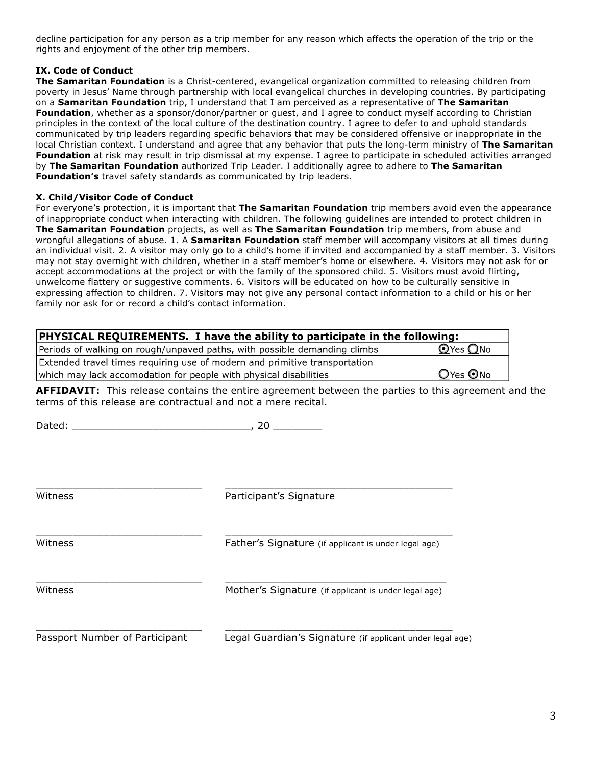decline participation for any person as a trip member for any reason which affects the operation of the trip or the rights and enjoyment of the other trip members.

#### **IX. Code of Conduct**

**The Samaritan Foundation** is a Christ-centered, evangelical organization committed to releasing children from poverty in Jesus' Name through partnership with local evangelical churches in developing countries. By participating on a **Samaritan Foundation** trip, I understand that I am perceived as a representative of **The Samaritan Foundation**, whether as a sponsor/donor/partner or guest, and I agree to conduct myself according to Christian principles in the context of the local culture of the destination country. I agree to defer to and uphold standards communicated by trip leaders regarding specific behaviors that may be considered offensive or inappropriate in the local Christian context. I understand and agree that any behavior that puts the long-term ministry of **The Samaritan Foundation** at risk may result in trip dismissal at my expense. I agree to participate in scheduled activities arranged by **The Samaritan Foundation** authorized Trip Leader. I additionally agree to adhere to **The Samaritan Foundation's** travel safety standards as communicated by trip leaders.

#### **X. Child/Visitor Code of Conduct**

For everyone's protection, it is important that **The Samaritan Foundation** trip members avoid even the appearance of inappropriate conduct when interacting with children. The following guidelines are intended to protect children in **The Samaritan Foundation** projects, as well as **The Samaritan Foundation** trip members, from abuse and wrongful allegations of abuse. 1. A **Samaritan Foundation** staff member will accompany visitors at all times during an individual visit. 2. A visitor may only go to a child's home if invited and accompanied by a staff member. 3. Visitors may not stay overnight with children, whether in a staff member's home or elsewhere. 4. Visitors may not ask for or accept accommodations at the project or with the family of the sponsored child. 5. Visitors must avoid flirting, unwelcome flattery or suggestive comments. 6. Visitors will be educated on how to be culturally sensitive in expressing affection to children. 7. Visitors may not give any personal contact information to a child or his or her family nor ask for or record a child's contact information.

| <b>PHYSICAL REQUIREMENTS. I have the ability to participate in the following:</b> |                |  |
|-----------------------------------------------------------------------------------|----------------|--|
| Periods of walking on rough/unpaved paths, with possible demanding climbs         | $O$ Yes $O$ No |  |
| Extended travel times requiring use of modern and primitive transportation        |                |  |
| which may lack accomodation for people with physical disabilities                 | $Q$ Yes $Q$ No |  |

**AFFIDAVIT:** This release contains the entire agreement between the parties to this agreement and the terms of this release are contractual and not a mere recital.

 $Dated:$  ,  $20$ 

| Witness                        | Participant's Signature                                   |
|--------------------------------|-----------------------------------------------------------|
| Witness                        | Father's Signature (if applicant is under legal age)      |
| Witness                        | Mother's Signature (if applicant is under legal age)      |
| Passport Number of Participant | Legal Guardian's Signature (if applicant under legal age) |